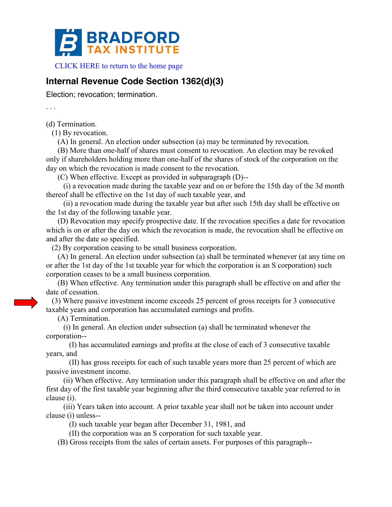

[CLICK HERE to return to the home page](http://bradfordtaxinstitute.com/index1.aspx) 

## **Internal Revenue Code Section 1362(d)(3)**

Election; revocation; termination.

. . .

(d) Termination.

(1) By revocation.

(A) In general. An election under subsection (a) may be terminated by revocation.

 (B) More than one-half of shares must consent to revocation. An election may be revoked only if shareholders holding more than one-half of the shares of stock of the corporation on the day on which the revocation is made consent to the revocation.

(C) When effective. Except as provided in subparagraph (D)--

 (i) a revocation made during the taxable year and on or before the 15th day of the 3d month thereof shall be effective on the 1st day of such taxable year, and

 (ii) a revocation made during the taxable year but after such 15th day shall be effective on the 1st day of the following taxable year.

 (D) Revocation may specify prospective date. If the revocation specifies a date for revocation which is on or after the day on which the revocation is made, the revocation shall be effective on and after the date so specified.

(2) By corporation ceasing to be small business corporation.

 (A) In general. An election under subsection (a) shall be terminated whenever (at any time on or after the 1st day of the 1st taxable year for which the corporation is an S corporation) such corporation ceases to be a small business corporation.

 (B) When effective. Any termination under this paragraph shall be effective on and after the date of cessation.

 (3) Where passive investment income exceeds 25 percent of gross receipts for 3 consecutive taxable years and corporation has accumulated earnings and profits.

(A) Termination.

 (i) In general. An election under subsection (a) shall be terminated whenever the corporation--

 (I) has accumulated earnings and profits at the close of each of 3 consecutive taxable years, and

 (II) has gross receipts for each of such taxable years more than 25 percent of which are passive investment income.

 (ii) When effective. Any termination under this paragraph shall be effective on and after the first day of the first taxable year beginning after the third consecutive taxable year referred to in clause (i).

 (iii) Years taken into account. A prior taxable year shall not be taken into account under clause (i) unless--

(I) such taxable year began after December 31, 1981, and

(II) the corporation was an S corporation for such taxable year.

(B) Gross receipts from the sales of certain assets. For purposes of this paragraph--